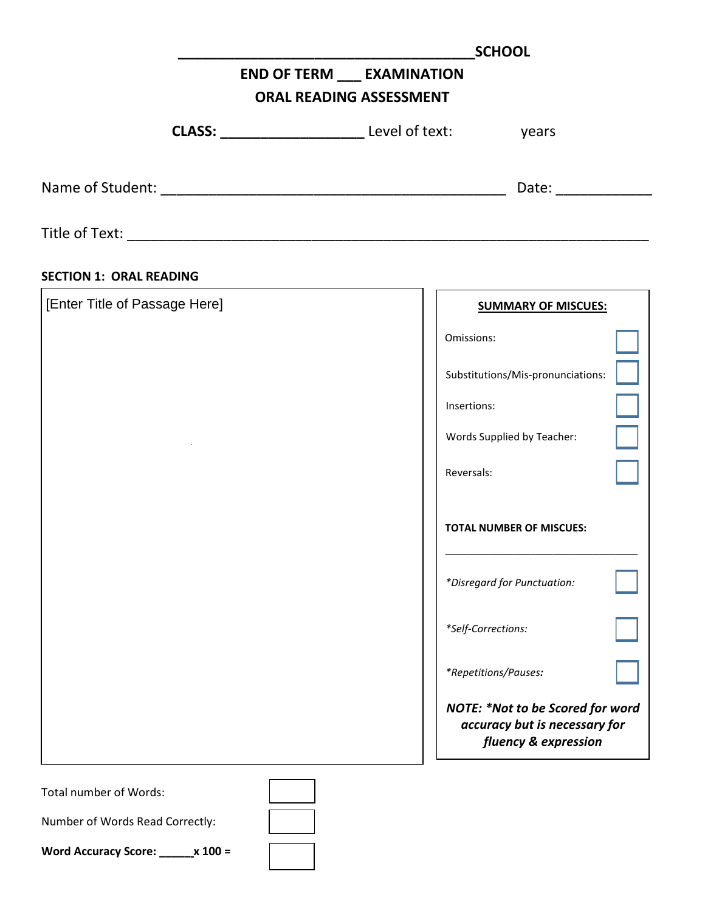|                                 | <b>SCHOOL</b>                                                                                    |
|---------------------------------|--------------------------------------------------------------------------------------------------|
|                                 | <b>END OF TERM __ EXAMINATION</b>                                                                |
|                                 | <b>ORAL READING ASSESSMENT</b>                                                                   |
|                                 |                                                                                                  |
|                                 | Date: _____________                                                                              |
|                                 |                                                                                                  |
| <b>SECTION 1: ORAL READING</b>  |                                                                                                  |
| [Enter Title of Passage Here]   | <b>SUMMARY OF MISCUES:</b>                                                                       |
|                                 | Omissions:                                                                                       |
|                                 | Substitutions/Mis-pronunciations:                                                                |
|                                 | Insertions:                                                                                      |
|                                 | Words Supplied by Teacher:                                                                       |
|                                 | Reversals:                                                                                       |
|                                 | <b>TOTAL NUMBER OF MISCUES:</b>                                                                  |
|                                 | *Disregard for Punctuation:                                                                      |
|                                 | *Self-Corrections:                                                                               |
|                                 | *Repetitions/Pauses:                                                                             |
|                                 | <b>NOTE: *Not to be Scored for word</b><br>accuracy but is necessary for<br>fluency & expression |
| <b>Total number of Words:</b>   |                                                                                                  |
| Number of Words Read Correctly: |                                                                                                  |

| <b>Word Accuracy Score:</b> |  | $x 100 =$ |
|-----------------------------|--|-----------|
|-----------------------------|--|-----------|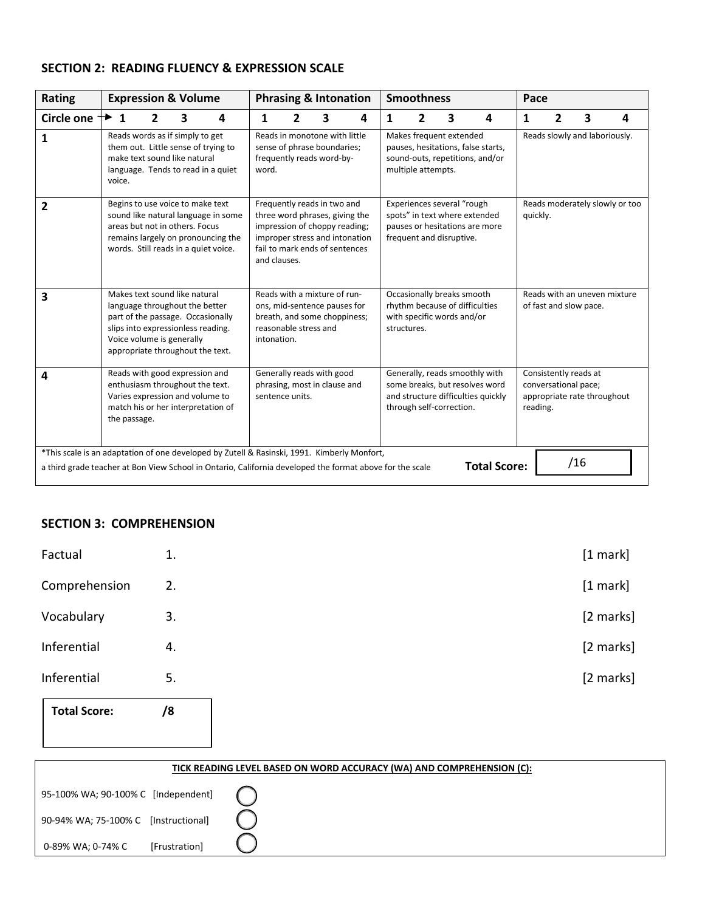## **SECTION 2: READING FLUENCY & EXPRESSION SCALE**

| Rating                                                                                                                                                                                                  | <b>Expression &amp; Volume</b>                                                                                                                                                                              |   |                                                                                                                                      |                                                                           |              |                                                                                                                        | <b>Phrasing &amp; Intonation</b>                                                                                                                                   |   | <b>Smoothness</b> |                                                        |                                                        |                                                                                                        | Pace     |          |     |                                                                              |   |
|---------------------------------------------------------------------------------------------------------------------------------------------------------------------------------------------------------|-------------------------------------------------------------------------------------------------------------------------------------------------------------------------------------------------------------|---|--------------------------------------------------------------------------------------------------------------------------------------|---------------------------------------------------------------------------|--------------|------------------------------------------------------------------------------------------------------------------------|--------------------------------------------------------------------------------------------------------------------------------------------------------------------|---|-------------------|--------------------------------------------------------|--------------------------------------------------------|--------------------------------------------------------------------------------------------------------|----------|----------|-----|------------------------------------------------------------------------------|---|
| Circle one                                                                                                                                                                                              | $+$ 1                                                                                                                                                                                                       | 2 | 3                                                                                                                                    | 4                                                                         | 1            | 2                                                                                                                      | 3                                                                                                                                                                  | 4 | 1                 | $\overline{2}$                                         | 3                                                      | 4                                                                                                      | 1        | 2        |     | 3                                                                            | 4 |
| 1                                                                                                                                                                                                       | Reads words as if simply to get<br>them out. Little sense of trying to<br>make text sound like natural<br>language. Tends to read in a quiet<br>voice.                                                      |   | Reads in monotone with little<br>sense of phrase boundaries;<br>frequently reads word-by-<br>word.                                   |                                                                           |              | Makes frequent extended<br>pauses, hesitations, false starts,<br>sound-outs, repetitions, and/or<br>multiple attempts. |                                                                                                                                                                    |   |                   | Reads slowly and laboriously.                          |                                                        |                                                                                                        |          |          |     |                                                                              |   |
| $\overline{2}$                                                                                                                                                                                          | Begins to use voice to make text<br>areas but not in others. Focus<br>words. Still reads in a quiet voice.                                                                                                  |   |                                                                                                                                      | sound like natural language in some<br>remains largely on pronouncing the | and clauses. |                                                                                                                        | Frequently reads in two and<br>three word phrases, giving the<br>impression of choppy reading;<br>improper stress and intonation<br>fail to mark ends of sentences |   |                   | Experiences several "rough<br>frequent and disruptive. |                                                        | spots" in text where extended<br>pauses or hesitations are more                                        | quickly. |          |     | Reads moderately slowly or too                                               |   |
| 3                                                                                                                                                                                                       | Makes text sound like natural<br>language throughout the better<br>part of the passage. Occasionally<br>slips into expressionless reading.<br>Voice volume is generally<br>appropriate throughout the text. |   | Reads with a mixture of run-<br>ons, mid-sentence pauses for<br>breath, and some choppiness;<br>reasonable stress and<br>intonation. |                                                                           |              | Occasionally breaks smooth<br>rhythm because of difficulties<br>with specific words and/or<br>structures.              |                                                                                                                                                                    |   |                   |                                                        | Reads with an uneven mixture<br>of fast and slow pace. |                                                                                                        |          |          |     |                                                                              |   |
| 4                                                                                                                                                                                                       | Reads with good expression and<br>enthusiasm throughout the text.<br>Varies expression and volume to<br>match his or her interpretation of<br>the passage.                                                  |   |                                                                                                                                      |                                                                           |              | sentence units.                                                                                                        | Generally reads with good<br>phrasing, most in clause and                                                                                                          |   |                   | through self-correction.                               |                                                        | Generally, reads smoothly with<br>some breaks, but resolves word<br>and structure difficulties quickly |          | reading. |     | Consistently reads at<br>conversational pace;<br>appropriate rate throughout |   |
| *This scale is an adaptation of one developed by Zutell & Rasinski, 1991. Kimberly Monfort,<br>a third grade teacher at Bon View School in Ontario, California developed the format above for the scale |                                                                                                                                                                                                             |   |                                                                                                                                      |                                                                           |              |                                                                                                                        |                                                                                                                                                                    |   |                   |                                                        |                                                        | <b>Total Score:</b>                                                                                    |          |          | /16 |                                                                              |   |

## **SECTION 3: COMPREHENSION**

| Factual             | 1. |
|---------------------|----|
| Comprehension       | 2. |
| Vocabulary          | 3. |
| Inferential         | 4. |
| Inferential         | 5. |
| <b>Total Score:</b> | /8 |
|                     |    |

| TICK READING LEVEL BASED ON WORD ACCURACY (WA) AND COMPREHENSION (C): |               |  |  |  |  |  |
|-----------------------------------------------------------------------|---------------|--|--|--|--|--|
| 95-100% WA; 90-100% C [Independent] ()                                |               |  |  |  |  |  |
| 90-94% WA; 75-100% C [Instructional]                                  |               |  |  |  |  |  |
| 0-89% WA; 0-74% C                                                     | [Frustration] |  |  |  |  |  |